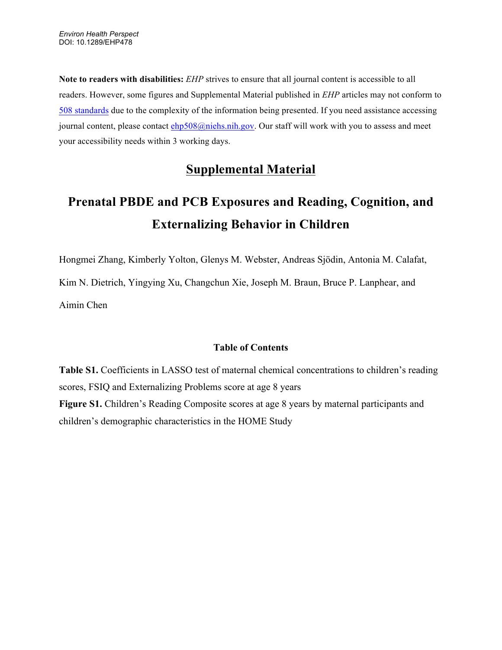**Note to readers with disabilities:** *EHP* strives to ensure that all journal content is accessible to all readers. However, some figures and Supplemental Material published in *EHP* articles may not conform to [508 standards](http://ehp.niehs.nih.gov/accessibility/) due to the complexity of the information being presented. If you need assistance accessing journal content, please contact ehp508@niehs.nih.gov. Our staff will work with you to assess and meet your accessibility needs within 3 working days.

## **Supplemental Material**

## **Prenatal PBDE and PCB Exposures and Reading, Cognition, and Externalizing Behavior in Children**

Hongmei Zhang, Kimberly Yolton, Glenys M. Webster, Andreas Sjödin, Antonia M. Calafat, Kim N. Dietrich, Yingying Xu, Changchun Xie, Joseph M. Braun, Bruce P. Lanphear, and Aimin Chen

## **Table of Contents**

**Table S1.** Coefficients in LASSO test of maternal chemical concentrations to children's reading scores, FSIQ and Externalizing Problems score at age 8 years **Figure S1.** Children's Reading Composite scores at age 8 years by maternal participants and children's demographic characteristics in the HOME Study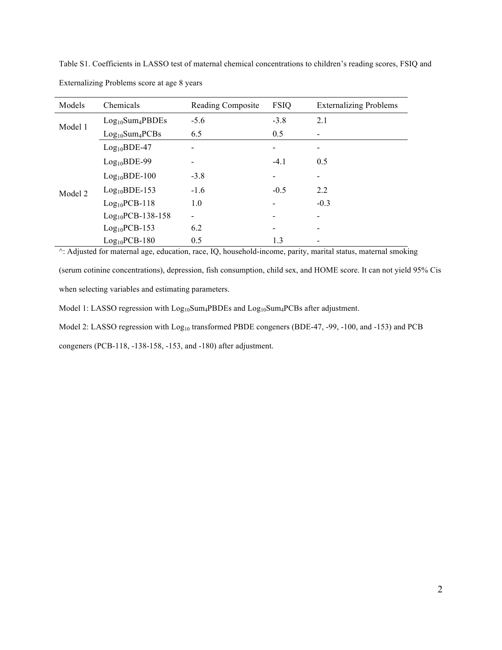Table S1. Coefficients in LASSO test of maternal chemical concentrations to children's reading scores, FSIQ and Externalizing Problems score at age 8 years

| Models  | Chemicals                                | Reading Composite | <b>FSIQ</b>              | <b>Externalizing Problems</b> |
|---------|------------------------------------------|-------------------|--------------------------|-------------------------------|
| Model 1 | Log <sub>10</sub> Sum <sub>4</sub> PBDEs | $-5.6$            | $-3.8$                   | 2.1                           |
|         | $Log_{10}Sum_4PCBs$                      | 6.5               | 0.5                      |                               |
| Model 2 | $Log10BDE-47$                            |                   |                          |                               |
|         | $Log10BDE-99$                            |                   | $-4.1$                   | 0.5                           |
|         | $Log10BDE-100$                           | $-3.8$            | $\overline{\phantom{a}}$ |                               |
|         | $Log10BDE-153$                           | $-1.6$            | $-0.5$                   | 2.2                           |
|         | $Log10PCB-118$                           | 1.0               |                          | $-0.3$                        |
|         | $Log10PCB-138-158$                       |                   |                          |                               |
|         | $Log10PCB-153$                           | 6.2               |                          |                               |
|         | $Log10PCB-180$                           | 0.5               | 1.3                      |                               |

^: Adjusted for maternal age, education, race, IQ, household-income, parity, marital status, maternal smoking

(serum cotinine concentrations), depression, fish consumption, child sex, and HOME score. It can not yield 95% Cis when selecting variables and estimating parameters.

Model 1: LASSO regression with Log<sub>10</sub>Sum<sub>4</sub>PBDEs and Log<sub>10</sub>Sum<sub>4</sub>PCBs after adjustment.

Model 2: LASSO regression with Log<sub>10</sub> transformed PBDE congeners (BDE-47, -99, -100, and -153) and PCB

congeners (PCB-118, -138-158, -153, and -180) after adjustment.